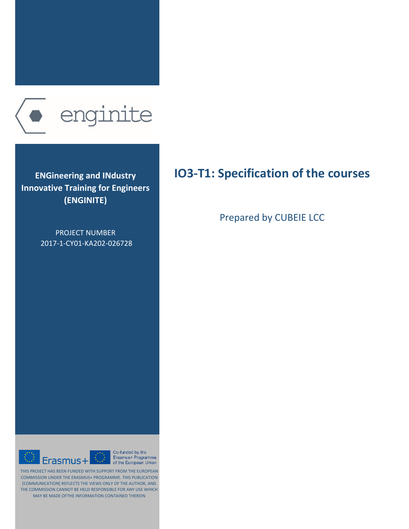

**ENGineering and IΝdustry Innovative Training for Engineers (ENGINITE)**

> PROJECT NUMBER 2017-1-CY01-KA202-026728

### **IO3-T1: Specification of the courses**

Prepared by CUBEIE LCC



Co-funded by the Erasmus+ Programme of the European Union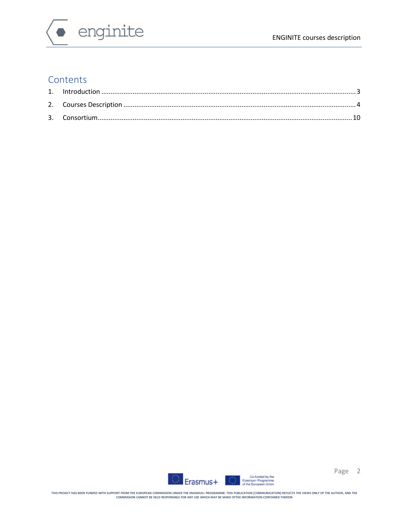

### **Contents**



Page 2

THIS PROJECT HAS BEEN FUNDED WITH SUPPORT FROM THE EUROPEAN COMMISSION UNDER THE ERASMUS+ PROGRAMME. THIS PUBLICATION [COMMUNICATION] REFLECTS THE VIEWS ONLY OF THE AUTHOR, AND THE<br>COMMISSION CANNOT BE HELD RESPONSIBLE FOR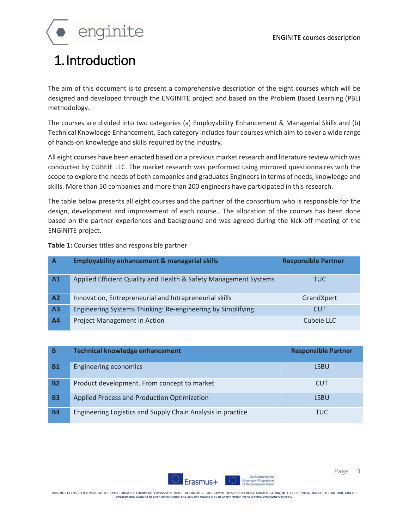enginite

# <span id="page-2-0"></span>1.Introduction

The aim of this document is to present a comprehensive description of the eight courses which will be designed and developed through the ENGINITE project and based on the Problem Based Learning (PBL) methodology.

The courses are divided into two categories (a) Employability Enhancement & Managerial Skills and (b) Technical Knowledge Enhancement. Each category includes four courses which aim to cover a wide range of hands-on knowledge and skills required by the industry.

All eight courses have been enacted based on a previous market research and literature review which was conducted by CUBEIE LLC. The market research was performed using mirrored questionnaires with the scope to explore the needs of both companies and graduates Engineers in terms of needs, knowledge and skills. More than 50 companies and more than 200 engineers have participated in this research.

The table below presents all eight courses and the partner of the consortium who is responsible for the design, development and improvement of each course.. The allocation of the courses has been done based on the partner experiences and background and was agreed during the kick-off meeting of the ENGINITE project.

| Α              | <b>Employability enhancement &amp; managerial skills</b>         | <b>Responsible Partner</b> |
|----------------|------------------------------------------------------------------|----------------------------|
| A1             | Applied Efficient Quality and Health & Safety Management Systems | TUC.                       |
| A2             | Innovation, Entrepreneurial and Intrapreneurial skills           | GrandXpert                 |
| A <sub>3</sub> | Engineering Systems Thinking: Re-engineering by Simplifying      | <b>CUT</b>                 |
| A <sub>4</sub> | Project Management in Action                                     | Cubeje LLC                 |

**Table 1:** Courses titles and responsible partner

| B         | <b>Technical knowledge enhancement</b>                      | <b>Responsible Partner</b> |
|-----------|-------------------------------------------------------------|----------------------------|
| <b>B1</b> | <b>Engineering economics</b>                                | <b>LSBU</b>                |
| <b>B2</b> | Product development. From concept to market                 | <b>CUT</b>                 |
| <b>B3</b> | Applied Process and Production Optimization                 | <b>LSBU</b>                |
| <b>B4</b> | Engineering Logistics and Supply Chain Analysis in practice | <b>TUC</b>                 |

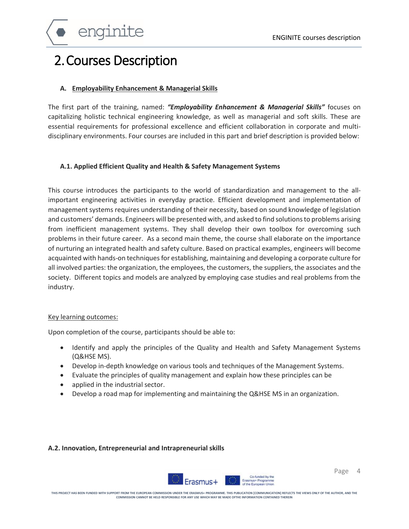# <span id="page-3-0"></span>2.Courses Description

#### **A. Employability Enhancement & Managerial Skills**

The first part of the training, named: *"Employability Enhancement & Managerial Skills"* focuses on capitalizing holistic technical engineering knowledge, as well as managerial and soft skills. These are essential requirements for professional excellence and efficient collaboration in corporate and multidisciplinary environments. Four courses are included in this part and brief description is provided below:

#### **A.1. Applied Efficient Quality and Health & Safety Management Systems**

This course introduces the participants to the world of standardization and management to the allimportant engineering activities in everyday practice. Efficient development and implementation of management systems requires understanding of their necessity, based on sound knowledge of legislation and customers' demands. Engineers will be presented with, and asked to find solutions to problems arising from inefficient management systems. They shall develop their own toolbox for overcoming such problems in their future career. As a second main theme, the course shall elaborate on the importance of nurturing an integrated health and safety culture. Based on practical examples, engineers will become acquainted with hands-on techniques for establishing, maintaining and developing a corporate culture for all involved parties: the organization, the employees, the customers, the suppliers, the associates and the society. Different topics and models are analyzed by employing case studies and real problems from the industry.

#### Key learning outcomes:

Upon completion of the course, participants should be able to:

- Identify and apply the principles of the Quality and Health and Safety Management Systems (Q&HSE MS).
- Develop in-depth knowledge on various tools and techniques of the Management Systems.
- Evaluate the principles of quality management and explain how these principles can be
- applied in the industrial sector.
- Develop a road map for implementing and maintaining the Q&HSE MS in an organization.

#### **A.2. Innovation, Entrepreneurial and Intrapreneurial skills**



Page 4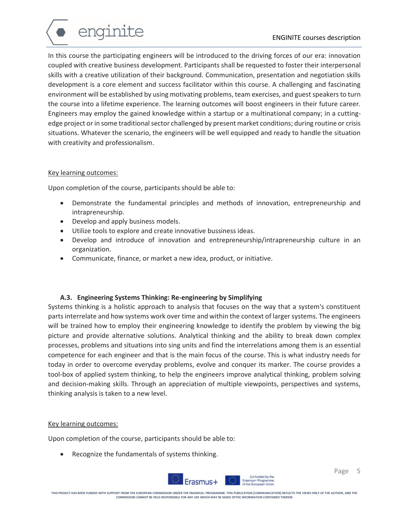enginite

In this course the participating engineers will be introduced to the driving forces of our era: innovation coupled with creative business development. Participants shall be requested to foster their interpersonal skills with a creative utilization of their background. Communication, presentation and negotiation skills development is a core element and success facilitator within this course. A challenging and fascinating environment will be established by using motivating problems, team exercises, and guest speakers to turn the course into a lifetime experience. The learning outcomes will boost engineers in their future career. Engineers may employ the gained knowledge within a startup or a multinational company; in a cuttingedge project or in some traditional sector challenged by present market conditions; during routine or crisis situations. Whatever the scenario, the engineers will be well equipped and ready to handle the situation with creativity and professionalism.

#### Key learning outcomes:

Upon completion of the course, participants should be able to:

- Demonstrate the fundamental principles and methods of innovation, entrepreneurship and intrapreneurship.
- Develop and apply business models.
- Utilize tools to explore and create innovative bussiness ideas.
- Develop and introduce of innovation and entrepreneurship/intrapreneurship culture in an organization.
- Communicate, finance, or market a new idea, product, or initiative.

#### **A.3. Engineering Systems Thinking: Re-engineering by Simplifying**

Systems thinking is a holistic approach to analysis that focuses on the way that a system's constituent parts interrelate and how systems work over time and within the context of larger systems. The engineers will be trained how to employ their engineering knowledge to identify the problem by viewing the big picture and provide alternative solutions. Analytical thinking and the ability to break down complex processes, problems and situations into sing units and find the interrelations among them is an essential competence for each engineer and that is the main focus of the course. This is what industry needs for today in order to overcome everyday problems, evolve and conquer its marker. The course provides a tool-box of applied system thinking, to help the engineers improve analytical thinking, problem solving and decision-making skills. Through an appreciation of multiple viewpoints, perspectives and systems, thinking analysis is taken to a new level.

#### Key learning outcomes:

Upon completion of the course, participants should be able to:

Recognize the fundamentals of systems thinking.



Page

5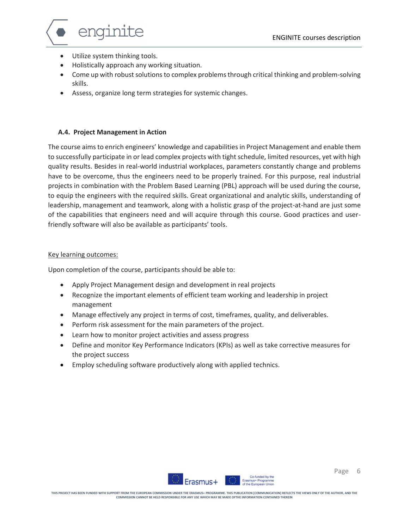- Utilize system thinking tools.
- Holistically approach any working situation.
- Come up with robust solutions to complex problems through critical thinking and problem-solving skills.
- Assess, organize long term strategies for systemic changes.

#### **A.4. Project Management in Action**

The course aims to enrich engineers' knowledge and capabilities in Project Management and enable them to successfully participate in or lead complex projects with tight schedule, limited resources, yet with high quality results. Besides in real-world industrial workplaces, parameters constantly change and problems have to be overcome, thus the engineers need to be properly trained. For this purpose, real industrial projects in combination with the Problem Based Learning (PBL) approach will be used during the course, to equip the engineers with the required skills. Great organizational and analytic skills, understanding of leadership, management and teamwork, along with a holistic grasp of the project-at-hand are just some of the capabilities that engineers need and will acquire through this course. Good practices and userfriendly software will also be available as participants' tools.

#### Key learning outcomes:

Upon completion of the course, participants should be able to:

- Apply Project Management design and development in real projects
- Recognize the important elements of efficient team working and leadership in project management
- Manage effectively any project in terms of cost, timeframes, quality, and deliverables.
- Perform risk assessment for the main parameters of the project.
- Learn how to monitor project activities and assess progress
- Define and monitor Key Performance Indicators (KPIs) as well as take corrective measures for the project success
- Employ scheduling software productively along with applied technics.



Page 6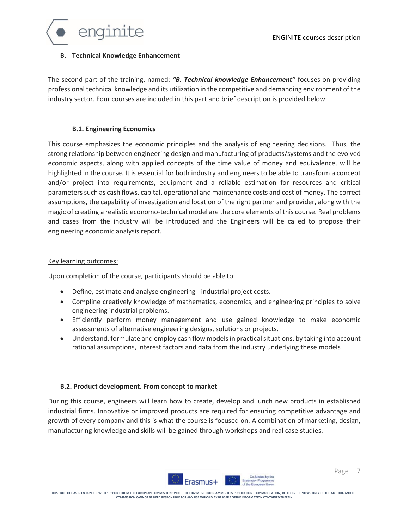

#### **B. Technical Knowledge Enhancement**

The second part of the training, named: *"B. Technical knowledge Enhancement"* focuses on providing professional technical knowledge and its utilization in the competitive and demanding environment of the industry sector. Four courses are included in this part and brief description is provided below:

#### **B.1. Engineering Economics**

This course emphasizes the economic principles and the analysis of engineering decisions. Thus, the strong relationship between engineering design and manufacturing of products/systems and the evolved economic aspects, along with applied concepts of the time value of money and equivalence, will be highlighted in the course. It is essential for both industry and engineers to be able to transform a concept and/or project into requirements, equipment and a reliable estimation for resources and critical parameters such as cash flows, capital, operational and maintenance costs and cost of money. The correct assumptions, the capability of investigation and location of the right partner and provider, along with the magic of creating a realistic economo-technical model are the core elements of this course. Real problems and cases from the industry will be introduced and the Engineers will be called to propose their engineering economic analysis report.

#### Key learning outcomes:

Upon completion of the course, participants should be able to:

- Define, estimate and analyse engineering industrial project costs.
- Compline creatively knowledge of mathematics, economics, and engineering principles to solve engineering industrial problems.
- Efficiently perform money management and use gained knowledge to make economic assessments of alternative engineering designs, solutions or projects.
- Understand, formulate and employ cash flow models in practical situations, by taking into account rational assumptions, interest factors and data from the industry underlying these models

#### **B.2. Product development. From concept to market**

During this course, engineers will learn how to create, develop and lunch new products in established industrial firms. Innovative or improved products are required for ensuring competitive advantage and growth of every company and this is what the course is focused on. A combination of marketing, design, manufacturing knowledge and skills will be gained through workshops and real case studies.

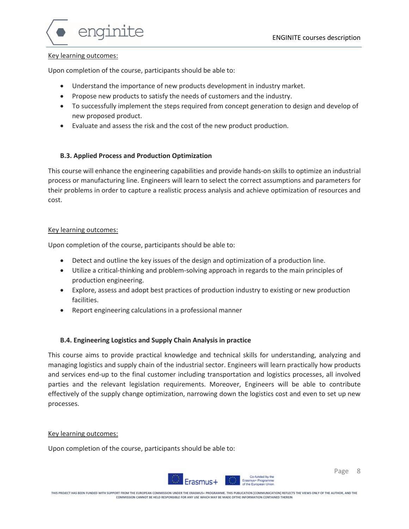

#### Key learning outcomes:

Upon completion of the course, participants should be able to:

- Understand the importance of new products development in industry market.
- Propose new products to satisfy the needs of customers and the industry.
- To successfully implement the steps required from concept generation to design and develop of new proposed product.
- Evaluate and assess the risk and the cost of the new product production.

#### **B.3. Applied Process and Production Optimization**

This course will enhance the engineering capabilities and provide hands-on skills to optimize an industrial process or manufacturing line. Engineers will learn to select the correct assumptions and parameters for their problems in order to capture a realistic process analysis and achieve optimization of resources and cost.

#### Key learning outcomes:

Upon completion of the course, participants should be able to:

- Detect and outline the key issues of the design and optimization of a production line.
- Utilize a critical-thinking and problem-solving approach in regards to the main principles of production engineering.
- Explore, assess and adopt best practices of production industry to existing or new production facilities.
- Report engineering calculations in a professional manner

#### **B.4. Engineering Logistics and Supply Chain Analysis in practice**

This course aims to provide practical knowledge and technical skills for understanding, analyzing and managing logistics and supply chain of the industrial sector. Engineers will learn practically how products and services end-up to the final customer including transportation and logistics processes, all involved parties and the relevant legislation requirements. Moreover, Engineers will be able to contribute effectively of the supply change optimization, narrowing down the logistics cost and even to set up new processes.

#### Key learning outcomes:

Upon completion of the course, participants should be able to:



**THIS PROJECT HAS BEEN FUNDED WITH SUPPORT FROM THE EUROPEAN COMMISSION UNDER THE ERASMUS+ PROGRAMME. THIS PUBLICATION [COMMUNICATION] REFLECTS THE VIEWS ONLY OF THE AUTHOR, AND THE COMMISSION CANNOT BE HELD RESPONSIBLE FOR ANY USE WHICH MAY BE MADE OFTHE INFORMATION CONTAINED THEREIN**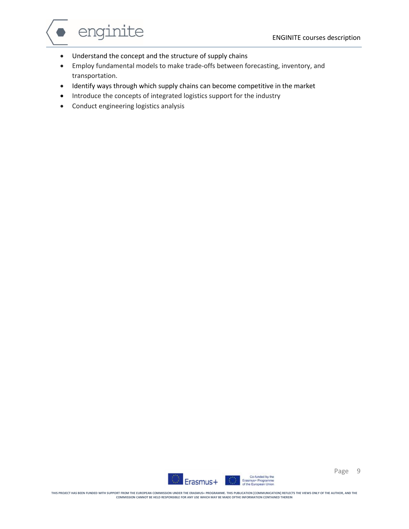enginite

- Understand the concept and the structure of supply chains
- Employ fundamental models to make trade-offs between forecasting, inventory, and transportation.
- Identify ways through which supply chains can become competitive in the market
- Introduce the concepts of integrated logistics support for the industry
- Conduct engineering logistics analysis